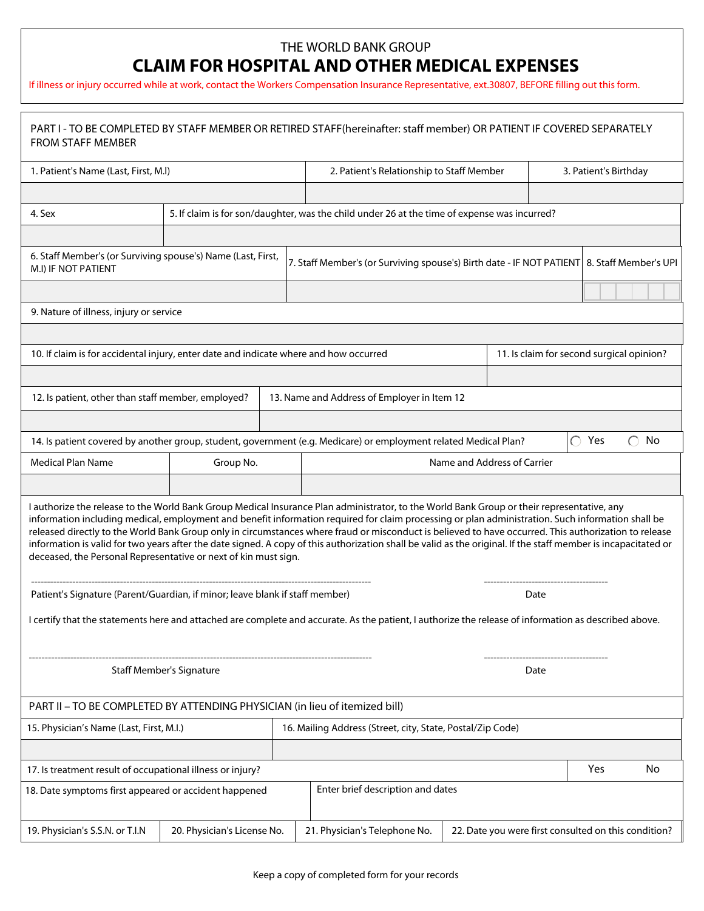## THE WORLD BANK GROUP

## **CLAIM FOR HOSPITAL AND OTHER MEDICAL EXPENSES**

If illness or injury occurred while at work, contact the Workers Compensation Insurance Representative, ext.30807, BEFORE filling out this form.

| PART I - TO BE COMPLETED BY STAFF MEMBER OR RETIRED STAFF(hereinafter: staff member) OR PATIENT IF COVERED SEPARATELY<br><b>FROM STAFF MEMBER</b>                                                                                                                                                                                                                                                                                                                                                                                                                                                                                                                                             |                             |                                                                                              |                                           |                                                                                                                                                                                                                                                                                                                                                                                                                                                                                                                                                                      |           |                                           |                      |  |  |  |  |
|-----------------------------------------------------------------------------------------------------------------------------------------------------------------------------------------------------------------------------------------------------------------------------------------------------------------------------------------------------------------------------------------------------------------------------------------------------------------------------------------------------------------------------------------------------------------------------------------------------------------------------------------------------------------------------------------------|-----------------------------|----------------------------------------------------------------------------------------------|-------------------------------------------|----------------------------------------------------------------------------------------------------------------------------------------------------------------------------------------------------------------------------------------------------------------------------------------------------------------------------------------------------------------------------------------------------------------------------------------------------------------------------------------------------------------------------------------------------------------------|-----------|-------------------------------------------|----------------------|--|--|--|--|
| 1. Patient's Name (Last, First, M.I)                                                                                                                                                                                                                                                                                                                                                                                                                                                                                                                                                                                                                                                          |                             |                                                                                              | 2. Patient's Relationship to Staff Member |                                                                                                                                                                                                                                                                                                                                                                                                                                                                                                                                                                      |           | 3. Patient's Birthday                     |                      |  |  |  |  |
|                                                                                                                                                                                                                                                                                                                                                                                                                                                                                                                                                                                                                                                                                               |                             |                                                                                              |                                           | $\left  \right. \right. \left. \right. \left. \right. \left. \right. \left. \right. \left. \left. \right. \left. \left. \right. \left. \right. \left. \left. \right. \right. \left. \left. \right. \left. \right. \left. \left. \right. \right. \left. \left. \right. \left. \left. \right. \right. \left. \left. \right. \right. \left. \left. \right. \left. \right. \left. \right. \left. \left. \right. \right. \left. \left. \right. \right. \left. \left. \right. \right. \left. \left. \right. \left. \left. \right. \right. \left. \left. \right. \right. \$ |           |                                           |                      |  |  |  |  |
| 4. Sex                                                                                                                                                                                                                                                                                                                                                                                                                                                                                                                                                                                                                                                                                        |                             | 5. If claim is for son/daughter, was the child under 26 at the time of expense was incurred? |                                           |                                                                                                                                                                                                                                                                                                                                                                                                                                                                                                                                                                      |           |                                           |                      |  |  |  |  |
| $\vert \vert$                                                                                                                                                                                                                                                                                                                                                                                                                                                                                                                                                                                                                                                                                 |                             |                                                                                              |                                           |                                                                                                                                                                                                                                                                                                                                                                                                                                                                                                                                                                      |           |                                           | $\blacktriangledown$ |  |  |  |  |
| 6. Staff Member's (or Surviving spouse's) Name (Last, First,<br>7. Staff Member's (or Surviving spouse's) Birth date - IF NOT PATIENT   8. Staff Member's UPI<br>M.I) IF NOT PATIENT                                                                                                                                                                                                                                                                                                                                                                                                                                                                                                          |                             |                                                                                              |                                           |                                                                                                                                                                                                                                                                                                                                                                                                                                                                                                                                                                      |           |                                           |                      |  |  |  |  |
|                                                                                                                                                                                                                                                                                                                                                                                                                                                                                                                                                                                                                                                                                               |                             |                                                                                              |                                           |                                                                                                                                                                                                                                                                                                                                                                                                                                                                                                                                                                      |           |                                           |                      |  |  |  |  |
| 9. Nature of illness, injury or service                                                                                                                                                                                                                                                                                                                                                                                                                                                                                                                                                                                                                                                       |                             |                                                                                              |                                           |                                                                                                                                                                                                                                                                                                                                                                                                                                                                                                                                                                      |           |                                           |                      |  |  |  |  |
|                                                                                                                                                                                                                                                                                                                                                                                                                                                                                                                                                                                                                                                                                               |                             |                                                                                              |                                           |                                                                                                                                                                                                                                                                                                                                                                                                                                                                                                                                                                      |           |                                           |                      |  |  |  |  |
| 10. If claim is for accidental injury, enter date and indicate where and how occurred                                                                                                                                                                                                                                                                                                                                                                                                                                                                                                                                                                                                         |                             |                                                                                              |                                           |                                                                                                                                                                                                                                                                                                                                                                                                                                                                                                                                                                      |           | 11. Is claim for second surgical opinion? |                      |  |  |  |  |
|                                                                                                                                                                                                                                                                                                                                                                                                                                                                                                                                                                                                                                                                                               |                             |                                                                                              |                                           |                                                                                                                                                                                                                                                                                                                                                                                                                                                                                                                                                                      |           |                                           |                      |  |  |  |  |
| 12. Is patient, other than staff member, employed?<br>13. Name and Address of Employer in Item 12                                                                                                                                                                                                                                                                                                                                                                                                                                                                                                                                                                                             |                             |                                                                                              |                                           |                                                                                                                                                                                                                                                                                                                                                                                                                                                                                                                                                                      |           |                                           |                      |  |  |  |  |
| $\blacktriangledown$                                                                                                                                                                                                                                                                                                                                                                                                                                                                                                                                                                                                                                                                          |                             |                                                                                              |                                           |                                                                                                                                                                                                                                                                                                                                                                                                                                                                                                                                                                      |           |                                           |                      |  |  |  |  |
| 14. Is patient covered by another group, student, government (e.g. Medicare) or employment related Medical Plan?<br>$\bigcirc$ Yes<br>No                                                                                                                                                                                                                                                                                                                                                                                                                                                                                                                                                      |                             |                                                                                              |                                           |                                                                                                                                                                                                                                                                                                                                                                                                                                                                                                                                                                      |           |                                           |                      |  |  |  |  |
| Medical Plan Name<br>Group No.                                                                                                                                                                                                                                                                                                                                                                                                                                                                                                                                                                                                                                                                |                             |                                                                                              | Name and Address of Carrier               |                                                                                                                                                                                                                                                                                                                                                                                                                                                                                                                                                                      |           |                                           |                      |  |  |  |  |
|                                                                                                                                                                                                                                                                                                                                                                                                                                                                                                                                                                                                                                                                                               |                             |                                                                                              |                                           |                                                                                                                                                                                                                                                                                                                                                                                                                                                                                                                                                                      |           |                                           |                      |  |  |  |  |
| I authorize the release to the World Bank Group Medical Insurance Plan administrator, to the World Bank Group or their representative, any<br>information including medical, employment and benefit information required for claim processing or plan administration. Such information shall be<br>released directly to the World Bank Group only in circumstances where fraud or misconduct is believed to have occurred. This authorization to release<br>information is valid for two years after the date signed. A copy of this authorization shall be valid as the original. If the staff member is incapacitated or<br>deceased, the Personal Representative or next of kin must sign. |                             |                                                                                              |                                           |                                                                                                                                                                                                                                                                                                                                                                                                                                                                                                                                                                      |           |                                           |                      |  |  |  |  |
| Patient's Signature (Parent/Guardian, if minor; leave blank if staff member)                                                                                                                                                                                                                                                                                                                                                                                                                                                                                                                                                                                                                  |                             |                                                                                              |                                           |                                                                                                                                                                                                                                                                                                                                                                                                                                                                                                                                                                      |           | Date                                      |                      |  |  |  |  |
| I certify that the statements here and attached are complete and accurate. As the patient, I authorize the release of information as described above.                                                                                                                                                                                                                                                                                                                                                                                                                                                                                                                                         |                             |                                                                                              |                                           |                                                                                                                                                                                                                                                                                                                                                                                                                                                                                                                                                                      |           |                                           |                      |  |  |  |  |
| <b>Staff Member's Signature</b>                                                                                                                                                                                                                                                                                                                                                                                                                                                                                                                                                                                                                                                               |                             |                                                                                              | Date                                      |                                                                                                                                                                                                                                                                                                                                                                                                                                                                                                                                                                      |           |                                           |                      |  |  |  |  |
| PART II - TO BE COMPLETED BY ATTENDING PHYSICIAN (in lieu of itemized bill)                                                                                                                                                                                                                                                                                                                                                                                                                                                                                                                                                                                                                   |                             |                                                                                              |                                           |                                                                                                                                                                                                                                                                                                                                                                                                                                                                                                                                                                      |           |                                           |                      |  |  |  |  |
| 15. Physician's Name (Last, First, M.I.)                                                                                                                                                                                                                                                                                                                                                                                                                                                                                                                                                                                                                                                      |                             | 16. Mailing Address (Street, city, State, Postal/Zip Code)                                   |                                           |                                                                                                                                                                                                                                                                                                                                                                                                                                                                                                                                                                      |           |                                           |                      |  |  |  |  |
|                                                                                                                                                                                                                                                                                                                                                                                                                                                                                                                                                                                                                                                                                               |                             |                                                                                              |                                           |                                                                                                                                                                                                                                                                                                                                                                                                                                                                                                                                                                      |           |                                           |                      |  |  |  |  |
| 17. Is treatment result of occupational illness or injury?                                                                                                                                                                                                                                                                                                                                                                                                                                                                                                                                                                                                                                    |                             |                                                                                              |                                           | <b>Yes</b>                                                                                                                                                                                                                                                                                                                                                                                                                                                                                                                                                           | <b>No</b> |                                           |                      |  |  |  |  |
| Enter brief description and dates<br>18. Date symptoms first appeared or accident happened                                                                                                                                                                                                                                                                                                                                                                                                                                                                                                                                                                                                    |                             |                                                                                              |                                           |                                                                                                                                                                                                                                                                                                                                                                                                                                                                                                                                                                      |           |                                           |                      |  |  |  |  |
| 19. Physician's S.S.N. or T.I.N                                                                                                                                                                                                                                                                                                                                                                                                                                                                                                                                                                                                                                                               | 20. Physician's License No. |                                                                                              | 21. Physician's Telephone No.             | 22. Date you were first consulted on this condition?                                                                                                                                                                                                                                                                                                                                                                                                                                                                                                                 |           |                                           |                      |  |  |  |  |